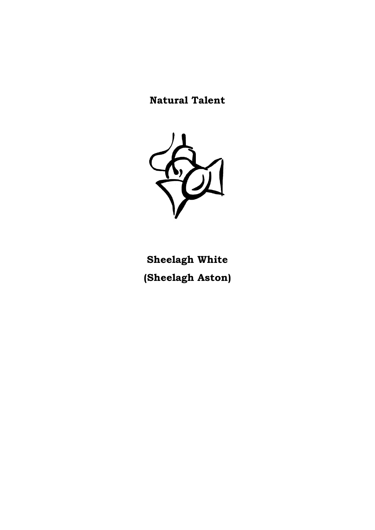**Natural Talent**



**Sheelagh White (Sheelagh Aston)**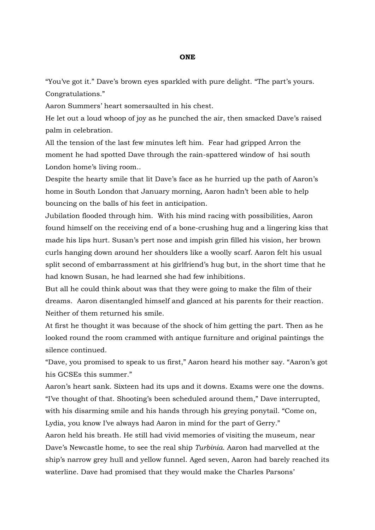## **ONE**

"You've got it." Dave's brown eyes sparkled with pure delight. "The part's yours. Congratulations."

Aaron Summers' heart somersaulted in his chest.

He let out a loud whoop of joy as he punched the air, then smacked Dave's raised palm in celebration.

All the tension of the last few minutes left him. Fear had gripped Arron the moment he had spotted Dave through the rain-spattered window of hsi south London home's living room..

Despite the hearty smile that lit Dave's face as he hurried up the path of Aaron's home in South London that January morning, Aaron hadn't been able to help bouncing on the balls of his feet in anticipation.

Jubilation flooded through him. With his mind racing with possibilities, Aaron found himself on the receiving end of a bone-crushing hug and a lingering kiss that made his lips hurt. Susan's pert nose and impish grin filled his vision, her brown curls hanging down around her shoulders like a woolly scarf. Aaron felt his usual split second of embarrassment at his girlfriend's hug but, in the short time that he had known Susan, he had learned she had few inhibitions.

But all he could think about was that they were going to make the film of their dreams. Aaron disentangled himself and glanced at his parents for their reaction. Neither of them returned his smile.

At first he thought it was because of the shock of him getting the part. Then as he looked round the room crammed with antique furniture and original paintings the silence continued.

"Dave, you promised to speak to us first," Aaron heard his mother say. "Aaron's got his GCSEs this summer."

Aaron's heart sank. Sixteen had its ups and it downs. Exams were one the downs. "I've thought of that. Shooting's been scheduled around them," Dave interrupted, with his disarming smile and his hands through his greying ponytail. "Come on, Lydia, you know I've always had Aaron in mind for the part of Gerry."

Aaron held his breath. He still had vivid memories of visiting the museum, near Dave's Newcastle home, to see the real ship *Turbinia*. Aaron had marvelled at the ship's narrow grey hull and yellow funnel. Aged seven, Aaron had barely reached its waterline. Dave had promised that they would make the Charles Parsons'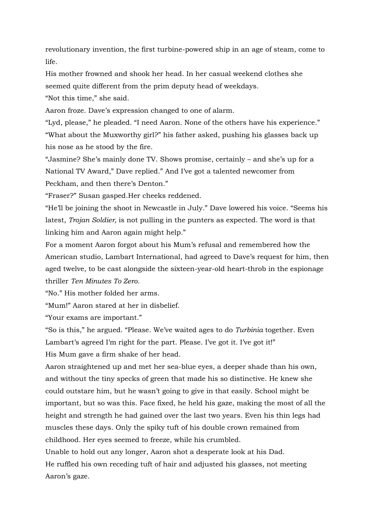revolutionary invention, the first turbine-powered ship in an age of steam, come to life.

His mother frowned and shook her head. In her casual weekend clothes she seemed quite different from the prim deputy head of weekdays.

"Not this time," she said.

Aaron froze. Dave's expression changed to one of alarm.

"Lyd, please," he pleaded. "I need Aaron. None of the others have his experience." "What about the Muxworthy girl?" his father asked, pushing his glasses back up his nose as he stood by the fire.

"Jasmine? She's mainly done TV. Shows promise, certainly – and she's up for a National TV Award," Dave replied." And I've got a talented newcomer from Peckham, and then there's Denton."

"Fraser?" Susan gasped.Her cheeks reddened.

"He'll be joining the shoot in Newcastle in July." Dave lowered his voice. "Seems his latest, *Trojan Soldier,* is not pulling in the punters as expected. The word is that linking him and Aaron again might help."

For a moment Aaron forgot about his Mum's refusal and remembered how the American studio, Lambart International, had agreed to Dave's request for him, then aged twelve, to be cast alongside the sixteen-year-old heart-throb in the espionage thriller *Ten Minutes To Zero.*

"No." His mother folded her arms.

"Mum!" Aaron stared at her in disbelief.

"Your exams are important."

"So is this," he argued. "Please. We've waited ages to do *Turbinia* together. Even Lambart's agreed I'm right for the part. Please. I've got it. I've got it!" His Mum gave a firm shake of her head.

Aaron straightened up and met her sea-blue eyes, a deeper shade than his own, and without the tiny specks of green that made his so distinctive. He knew she could outstare him, but he wasn't going to give in that easily. School might be important, but so was this. Face fixed, he held his gaze, making the most of all the height and strength he had gained over the last two years. Even his thin legs had muscles these days. Only the spiky tuft of his double crown remained from childhood. Her eyes seemed to freeze, while his crumbled.

Unable to hold out any longer, Aaron shot a desperate look at his Dad. He ruffled his own receding tuft of hair and adjusted his glasses, not meeting Aaron's gaze.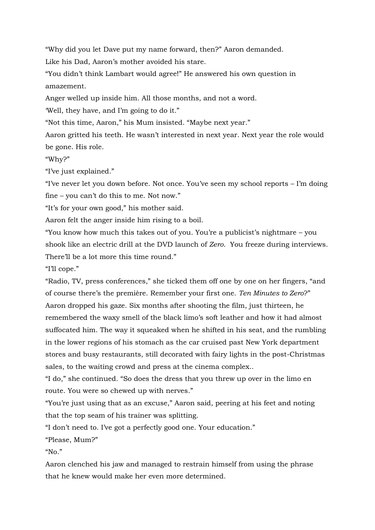"Why did you let Dave put my name forward, then?" Aaron demanded.

Like his Dad, Aaron's mother avoided his stare.

"You didn't think Lambart would agree!" He answered his own question in amazement.

Anger welled up inside him. All those months, and not a word.

'Well, they have, and I'm going to do it."

"Not this time, Aaron," his Mum insisted. "Maybe next year."

Aaron gritted his teeth. He wasn't interested in next year. Next year the role would be gone. His role.

"Why?"

"I've just explained."

"I've never let you down before. Not once. You've seen my school reports – I'm doing fine – you can't do this to me. Not now."

"It's for your own good," his mother said.

Aaron felt the anger inside him rising to a boil.

"You know how much this takes out of you. You're a publicist's nightmare – you shook like an electric drill at the DVD launch of *Zero*. You freeze during interviews. There'll be a lot more this time round."

"I'll cope."

"Radio, TV, press conferences," she ticked them off one by one on her fingers, "and of course there's the première. Remember your first one. *Ten Minutes to Zero*?" Aaron dropped his gaze. Six months after shooting the film, just thirteen, he remembered the waxy smell of the black limo's soft leather and how it had almost suffocated him. The way it squeaked when he shifted in his seat, and the rumbling in the lower regions of his stomach as the car cruised past New York department stores and busy restaurants, still decorated with fairy lights in the post-Christmas sales, to the waiting crowd and press at the cinema complex..

"I do," she continued. "So does the dress that you threw up over in the limo en route. You were so chewed up with nerves."

"You're just using that as an excuse," Aaron said, peering at his feet and noting that the top seam of his trainer was splitting.

"I don't need to. I've got a perfectly good one. Your education."

"Please, Mum?"

" $N<sub>0</sub>$ "

Aaron clenched his jaw and managed to restrain himself from using the phrase that he knew would make her even more determined.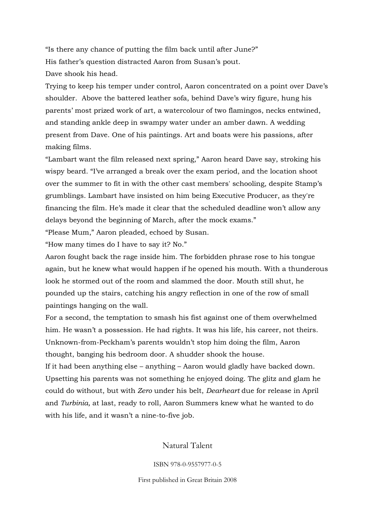"Is there any chance of putting the film back until after June?" His father's question distracted Aaron from Susan's pout. Dave shook his head.

Trying to keep his temper under control, Aaron concentrated on a point over Dave's shoulder. Above the battered leather sofa, behind Dave's wiry figure, hung his parents' most prized work of art, a watercolour of two flamingos, necks entwined, and standing ankle deep in swampy water under an amber dawn. A wedding present from Dave. One of his paintings. Art and boats were his passions, after making films.

"Lambart want the film released next spring," Aaron heard Dave say, stroking his wispy beard. "I've arranged a break over the exam period, and the location shoot over the summer to fit in with the other cast members' schooling, despite Stamp's grumblings. Lambart have insisted on him being Executive Producer, as they're financing the film. He's made it clear that the scheduled deadline won't allow any delays beyond the beginning of March, after the mock exams."

"Please Mum," Aaron pleaded, echoed by Susan.

"How many times do I have to say it? No."

Aaron fought back the rage inside him. The forbidden phrase rose to his tongue again, but he knew what would happen if he opened his mouth. With a thunderous look he stormed out of the room and slammed the door. Mouth still shut, he pounded up the stairs, catching his angry reflection in one of the row of small paintings hanging on the wall.

For a second, the temptation to smash his fist against one of them overwhelmed him. He wasn't a possession. He had rights. It was his life, his career, not theirs. Unknown-from-Peckham's parents wouldn't stop him doing the film, Aaron thought, banging his bedroom door. A shudder shook the house.

If it had been anything else – anything – Aaron would gladly have backed down. Upsetting his parents was not something he enjoyed doing. The glitz and glam he could do without, but with *Zero* under his belt, *Dearheart* due for release in April and *Turbinia,* at last, ready to roll, Aaron Summers knew what he wanted to do with his life, and it wasn't a nine-to-five job.

Natural Talent

ISBN 978-0-9557977-0-5

First published in Great Britain 2008